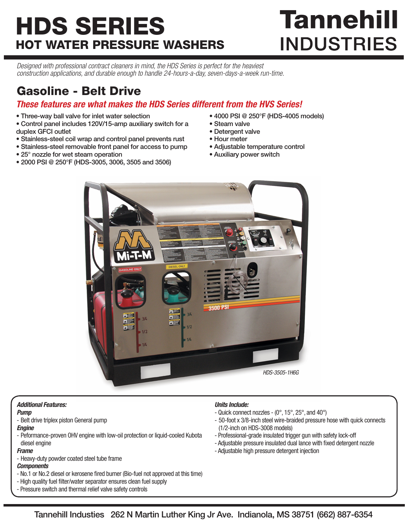# HDS SERIES HOT WATER PRESSURE WASHERS

# **Tannehill INDUSTRIES**

*Designed with professional contract cleaners in mind, the HDS Series is perfect for the heaviest construction applications, and durable enough to handle 24-hours-a-day, seven-days-a-week run-time.*

### Gasoline - Belt Drive

#### *These features are what makes the HDS Series different from the HVS Series!*

- Three-way ball valve for inlet water selection
- Control panel includes 120V/15-amp auxiliary switch for a duplex GFCI outlet
- Stainless-steel coil wrap and control panel prevents rust
- Stainless-steel removable front panel for access to pump
- 25° nozzle for wet steam operation
- 2000 PSI @ 250°F (HDS-3005, 3006, 3505 and 3506)
- 4000 PSI @ 250°F (HDS-4005 models)
- Steam valve
- Detergent valve
- Hour meter
- Adjustable temperature control
- Auxiliary power switch



#### *Additional Features:*

#### *Pump*

- Belt drive triplex piston General pump
- *Engine*
- Peformance-proven OHV engine with low-oil protection or liquid-cooled Kubota diesel engine

#### *Frame*

- Heavy-duty powder coated steel tube frame

#### *Components*

- No.1 or No.2 diesel or kerosene fired burner (Bio-fuel not approved at this time)
- High quality fuel filter/water separator ensures clean fuel supply
- Pressure switch and thermal relief valve safety controls

#### *Units Include:*

- Quick connect nozzles (0°, 15°, 25°, and 40°)
- 50-foot x 3/8-inch steel wire-braided pressure hose with quick connects (1/2-inch on HDS-3008 models)
- Professional-grade insulated trigger gun with safety lock-off
- Adjustable pressure insulated dual lance with fixed detergent nozzle
- Adjustable high pressure detergent injection